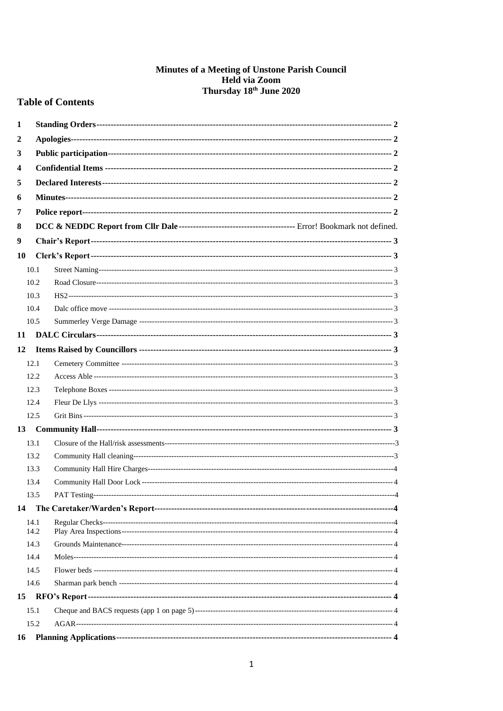# **Minutes of a Meeting of Unstone Parish Council<br>Held via Zoom<br>Thursday 18<sup>th</sup> June 2020**

# **Table of Contents**

| 1  |      |               |  |  |  |  |  |  |
|----|------|---------------|--|--|--|--|--|--|
| 2  |      |               |  |  |  |  |  |  |
| 3  |      |               |  |  |  |  |  |  |
| 4  |      |               |  |  |  |  |  |  |
| 5  |      |               |  |  |  |  |  |  |
| 6  |      |               |  |  |  |  |  |  |
| 7  |      |               |  |  |  |  |  |  |
|    |      |               |  |  |  |  |  |  |
| 8  |      |               |  |  |  |  |  |  |
| 9  |      |               |  |  |  |  |  |  |
| 10 |      |               |  |  |  |  |  |  |
|    | 10.1 |               |  |  |  |  |  |  |
|    | 10.2 |               |  |  |  |  |  |  |
|    | 10.3 |               |  |  |  |  |  |  |
|    | 10.4 |               |  |  |  |  |  |  |
|    | 10.5 |               |  |  |  |  |  |  |
| 11 |      |               |  |  |  |  |  |  |
| 12 |      |               |  |  |  |  |  |  |
|    | 12.1 |               |  |  |  |  |  |  |
|    | 12.2 |               |  |  |  |  |  |  |
|    | 12.3 |               |  |  |  |  |  |  |
|    | 12.4 |               |  |  |  |  |  |  |
|    | 12.5 |               |  |  |  |  |  |  |
| 13 |      |               |  |  |  |  |  |  |
|    | 13.1 |               |  |  |  |  |  |  |
|    | 13.2 |               |  |  |  |  |  |  |
|    | 13.3 |               |  |  |  |  |  |  |
|    | 13.4 |               |  |  |  |  |  |  |
|    | 13.5 | PAT Testing-- |  |  |  |  |  |  |
| 14 |      |               |  |  |  |  |  |  |
|    | 14.1 |               |  |  |  |  |  |  |
|    | 14.2 |               |  |  |  |  |  |  |
|    | 14.3 |               |  |  |  |  |  |  |
|    | 14.4 |               |  |  |  |  |  |  |
|    | 14.5 |               |  |  |  |  |  |  |
|    | 14.6 |               |  |  |  |  |  |  |
| 15 |      |               |  |  |  |  |  |  |
|    | 15.1 |               |  |  |  |  |  |  |
|    | 15.2 |               |  |  |  |  |  |  |
| 16 |      |               |  |  |  |  |  |  |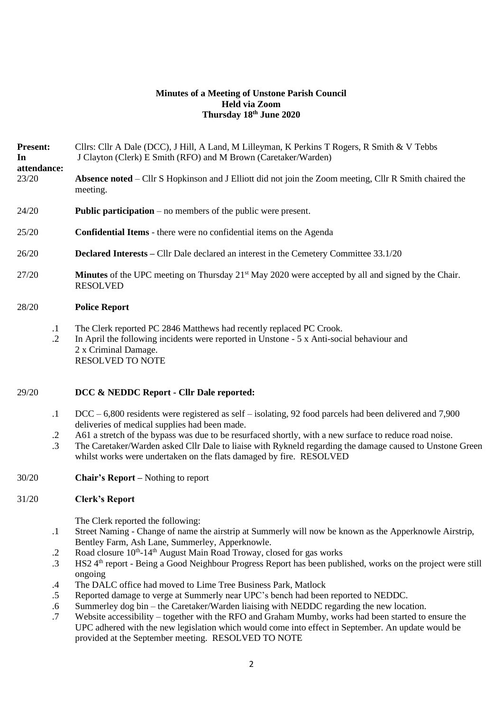## **Minutes of a Meeting of Unstone Parish Council Held via Zoom Thursday 18th June 2020**

**Present:** Cllrs: Cllr A Dale (DCC), J Hill, A Land, M Lilleyman, K Perkins T Rogers, R Smith & V Tebbs **In attendance:** J Clayton (Clerk) E Smith (RFO) and M Brown (Caretaker/Warden) 23/20 **Absence noted** – Cllr S Hopkinson and J Elliott did not join the Zoom meeting, Cllr R Smith chaired the meeting.

- 24/20 **Public participation** no members of the public were present.
- 25/20 **Confidential Items** there were no confidential items on the Agenda
- 26/20 **Declared Interests –** Cllr Dale declared an interest in the Cemetery Committee 33.1/20
- 27/20 **Minutes** of the UPC meeting on Thursday 21<sup>st</sup> May 2020 were accepted by all and signed by the Chair. RESOLVED

#### 28/20 **Police Report**

- .1 The Clerk reported PC 2846 Matthews had recently replaced PC Crook.
- $\mathcal{D}$ In April the following incidents were reported in Unstone - 5 x Anti-social behaviour and 2 x Criminal Damage. RESOLVED TO NOTE

## 29/20 **DCC & NEDDC Report - Cllr Dale reported:**

- .1 DCC – 6,800 residents were registered as self – isolating, 92 food parcels had been delivered and 7,900 deliveries of medical supplies had been made.
- .2 A61 a stretch of the bypass was due to be resurfaced shortly, with a new surface to reduce road noise.
- .3 The Caretaker/Warden asked Cllr Dale to liaise with Rykneld regarding the damage caused to Unstone Green whilst works were undertaken on the flats damaged by fire. RESOLVED
- 30/20 **Chair's Report –** Nothing to report

## 31/20 **Clerk's Report**

The Clerk reported the following:

- .1 Street Naming - Change of name the airstrip at Summerly will now be known as the Apperknowle Airstrip, Bentley Farm, Ash Lane, Summerley, Apperknowle.
- .2 Road closure 10<sup>th</sup>-14<sup>th</sup> August Main Road Troway, closed for gas works
- .3 HS2 4<sup>th</sup> report - Being a Good Neighbour Progress Report has been published, works on the project were still ongoing
- .4 The DALC office had moved to Lime Tree Business Park, Matlock
- .5 Reported damage to verge at Summerly near UPC's bench had been reported to NEDDC.
- .6 Summerley dog bin – the Caretaker/Warden liaising with NEDDC regarding the new location.
- .7 Website accessibility – together with the RFO and Graham Mumby, works had been started to ensure the UPC adhered with the new legislation which would come into effect in September. An update would be provided at the September meeting. RESOLVED TO NOTE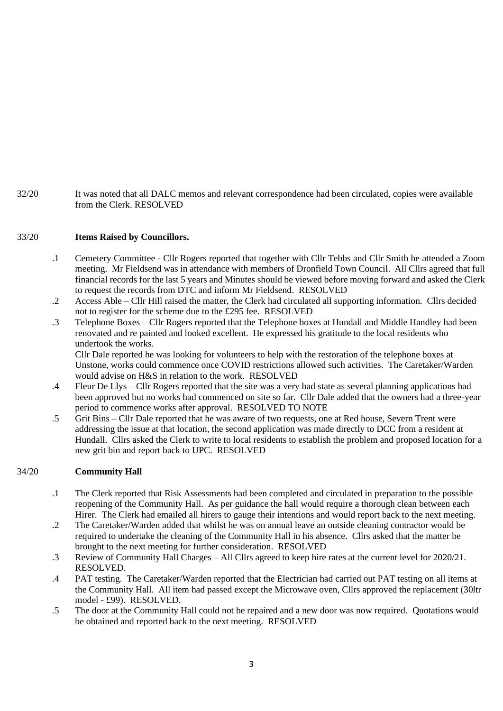32/20 It was noted that all DALC memos and relevant correspondence had been circulated, copies were available from the Clerk. RESOLVED

## 33/20 **Items Raised by Councillors.**

- .1 Cemetery Committee Cllr Rogers reported that together with Cllr Tebbs and Cllr Smith he attended a Zoom meeting. Mr Fieldsend was in attendance with members of Dronfield Town Council. All Cllrs agreed that full financial records for the last 5 years and Minutes should be viewed before moving forward and asked the Clerk to request the records from DTC and inform Mr Fieldsend. RESOLVED
- .2 Access Able Cllr Hill raised the matter, the Clerk had circulated all supporting information. Cllrs decided not to register for the scheme due to the £295 fee. RESOLVED
- .3 Telephone Boxes Cllr Rogers reported that the Telephone boxes at Hundall and Middle Handley had been renovated and re painted and looked excellent. He expressed his gratitude to the local residents who undertook the works.

Cllr Dale reported he was looking for volunteers to help with the restoration of the telephone boxes at Unstone, works could commence once COVID restrictions allowed such activities. The Caretaker/Warden would advise on H&S in relation to the work. RESOLVED

- .4 Fleur De Llys – Cllr Rogers reported that the site was a very bad state as several planning applications had been approved but no works had commenced on site so far. Cllr Dale added that the owners had a three-year period to commence works after approval. RESOLVED TO NOTE
- .5 Grit Bins – Cllr Dale reported that he was aware of two requests, one at Red house, Severn Trent were addressing the issue at that location, the second application was made directly to DCC from a resident at Hundall. Cllrs asked the Clerk to write to local residents to establish the problem and proposed location for a new grit bin and report back to UPC. RESOLVED

## 34/20 **Community Hall**

- .1 The Clerk reported that Risk Assessments had been completed and circulated in preparation to the possible reopening of the Community Hall. As per guidance the hall would require a thorough clean between each Hirer. The Clerk had emailed all hirers to gauge their intentions and would report back to the next meeting.
- .2 The Caretaker/Warden added that whilst he was on annual leave an outside cleaning contractor would be required to undertake the cleaning of the Community Hall in his absence. Cllrs asked that the matter be brought to the next meeting for further consideration. RESOLVED
- .3 Review of Community Hall Charges – All Cllrs agreed to keep hire rates at the current level for 2020/21. RESOLVED.
- .4 PAT testing. The Caretaker/Warden reported that the Electrician had carried out PAT testing on all items at the Community Hall. All item had passed except the Microwave oven, Cllrs approved the replacement (30ltr model - £99). RESOLVED.
- .5 The door at the Community Hall could not be repaired and a new door was now required. Quotations would be obtained and reported back to the next meeting. RESOLVED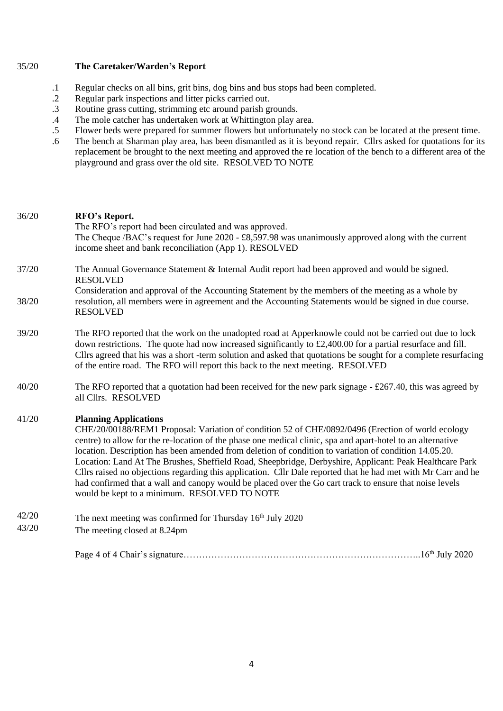## 35/20 **The Caretaker/Warden's Report**

- .1 Regular checks on all bins, grit bins, dog bins and bus stops had been completed.
- .2 Regular park inspections and litter picks carried out.
- .3 Routine grass cutting, strimming etc around parish grounds.
- .4 The mole catcher has undertaken work at Whittington play area.
- .5 Flower beds were prepared for summer flowers but unfortunately no stock can be located at the present time.
- .6 The bench at Sharman play area, has been dismantled as it is beyond repair. Cllrs asked for quotations for its replacement be brought to the next meeting and approved the re location of the bench to a different area of the playground and grass over the old site. RESOLVED TO NOTE

| 36/20          | RFO's Report.<br>The RFO's report had been circulated and was approved.                                                                                                                                                                                                                                                                                                                                                                                                                                                                                                                                                                                                                                                                          |
|----------------|--------------------------------------------------------------------------------------------------------------------------------------------------------------------------------------------------------------------------------------------------------------------------------------------------------------------------------------------------------------------------------------------------------------------------------------------------------------------------------------------------------------------------------------------------------------------------------------------------------------------------------------------------------------------------------------------------------------------------------------------------|
|                | The Cheque /BAC's request for June 2020 - £8,597.98 was unanimously approved along with the current<br>income sheet and bank reconciliation (App 1). RESOLVED                                                                                                                                                                                                                                                                                                                                                                                                                                                                                                                                                                                    |
| 37/20          | The Annual Governance Statement & Internal Audit report had been approved and would be signed.<br><b>RESOLVED</b>                                                                                                                                                                                                                                                                                                                                                                                                                                                                                                                                                                                                                                |
| 38/20          | Consideration and approval of the Accounting Statement by the members of the meeting as a whole by<br>resolution, all members were in agreement and the Accounting Statements would be signed in due course.<br><b>RESOLVED</b>                                                                                                                                                                                                                                                                                                                                                                                                                                                                                                                  |
| 39/20          | The RFO reported that the work on the unadopted road at Apperknowle could not be carried out due to lock<br>down restrictions. The quote had now increased significantly to $\text{\pounds}2,400.00$ for a partial resurface and fill.<br>Cllrs agreed that his was a short -term solution and asked that quotations be sought for a complete resurfacing<br>of the entire road. The RFO will report this back to the next meeting. RESOLVED                                                                                                                                                                                                                                                                                                     |
| 40/20          | The RFO reported that a quotation had been received for the new park signage - £267.40, this was agreed by<br>all Cllrs. RESOLVED                                                                                                                                                                                                                                                                                                                                                                                                                                                                                                                                                                                                                |
| 41/20          | <b>Planning Applications</b><br>CHE/20/00188/REM1 Proposal: Variation of condition 52 of CHE/0892/0496 (Erection of world ecology<br>centre) to allow for the re-location of the phase one medical clinic, spa and apart-hotel to an alternative<br>location. Description has been amended from deletion of condition to variation of condition 14.05.20.<br>Location: Land At The Brushes, Sheffield Road, Sheepbridge, Derbyshire, Applicant: Peak Healthcare Park<br>Cllrs raised no objections regarding this application. Cllr Dale reported that he had met with Mr Carr and he<br>had confirmed that a wall and canopy would be placed over the Go cart track to ensure that noise levels<br>would be kept to a minimum. RESOLVED TO NOTE |
| 42/20<br>43/20 | The next meeting was confirmed for Thursday 16 <sup>th</sup> July 2020<br>The meeting closed at 8.24pm                                                                                                                                                                                                                                                                                                                                                                                                                                                                                                                                                                                                                                           |

Page 4 of 4 Chair's signature……………………………………………………………………………16<sup>th</sup> July 2020